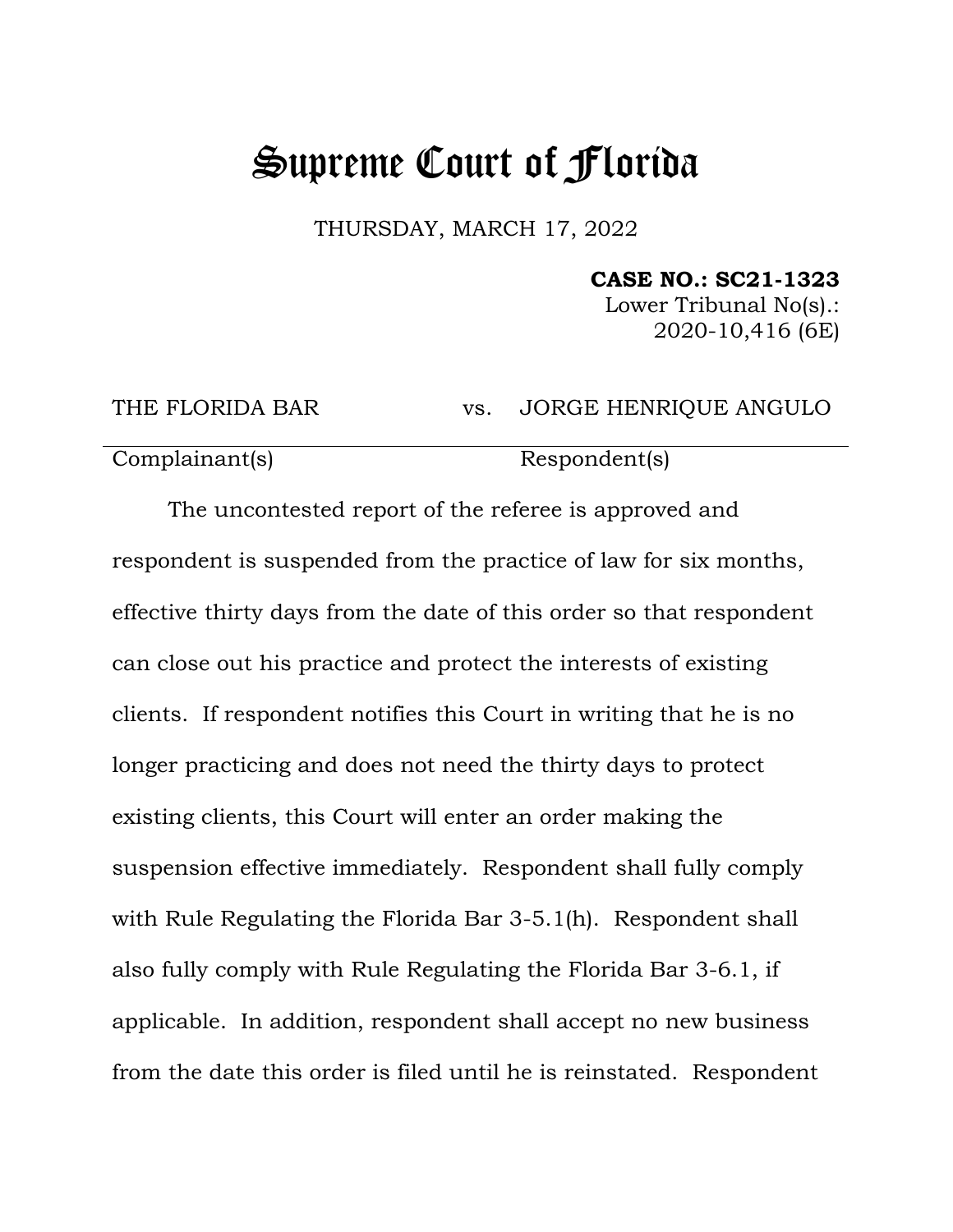## Supreme Court of Florida

THURSDAY, MARCH 17, 2022

## **CASE NO.: SC21-1323**

Lower Tribunal No(s).: 2020-10,416 (6E)

THE FLORIDA BAR vs. JORGE HENRIQUE ANGULO

Complainant(s) Respondent(s)

The uncontested report of the referee is approved and respondent is suspended from the practice of law for six months, effective thirty days from the date of this order so that respondent can close out his practice and protect the interests of existing clients. If respondent notifies this Court in writing that he is no longer practicing and does not need the thirty days to protect existing clients, this Court will enter an order making the suspension effective immediately. Respondent shall fully comply with Rule Regulating the Florida Bar 3-5.1(h). Respondent shall also fully comply with Rule Regulating the Florida Bar 3-6.1, if applicable. In addition, respondent shall accept no new business from the date this order is filed until he is reinstated. Respondent